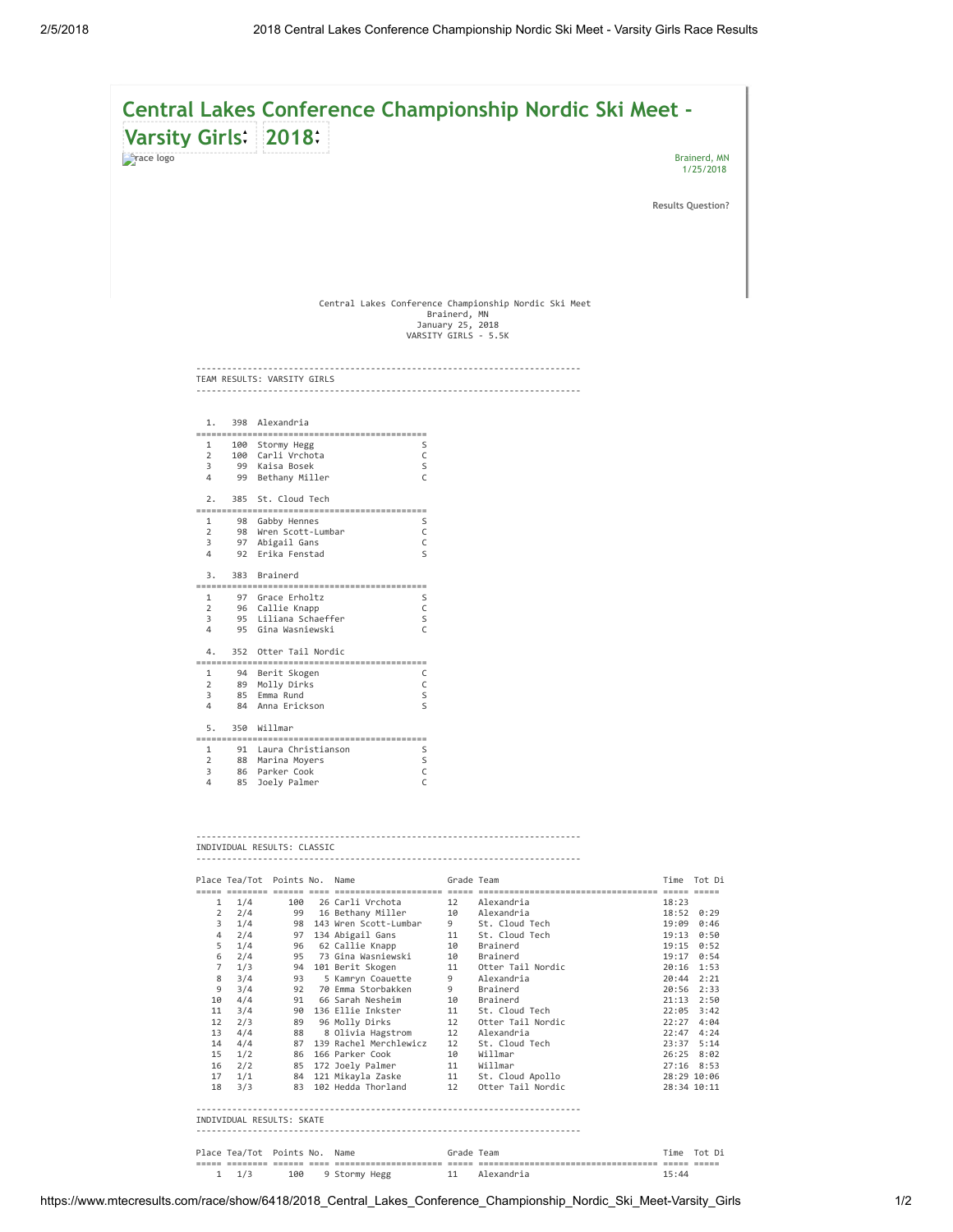|                                 |                     |            | Varsity Girls: 2018:                                                        |                                                          | Central Lakes Conference Championship Nordic Ski Meet - |                           |
|---------------------------------|---------------------|------------|-----------------------------------------------------------------------------|----------------------------------------------------------|---------------------------------------------------------|---------------------------|
| <b><i><u>Prace</u></i></b> logo |                     |            |                                                                             |                                                          |                                                         | Brainerd, MN<br>1/25/2018 |
|                                 |                     |            |                                                                             |                                                          |                                                         | <b>Results Question?</b>  |
|                                 |                     |            |                                                                             |                                                          |                                                         |                           |
|                                 |                     |            |                                                                             |                                                          |                                                         |                           |
|                                 |                     |            |                                                                             | Brainerd, MN<br>January 25, 2018<br>VARSITY GIRLS - 5.5K | Central Lakes Conference Championship Nordic Ski Meet   |                           |
|                                 |                     |            | TEAM RESULTS: VARSITY GIRLS                                                 |                                                          |                                                         |                           |
|                                 |                     |            | 1. 398 Alexandria                                                           |                                                          |                                                         |                           |
|                                 |                     |            | 1 100 Stormy Hegg S                                                         |                                                          |                                                         |                           |
|                                 |                     |            | 2 100 Carli Vrchota<br>3 99 Kaisa Bosek<br>$\overline{C}$<br>$\mathsf{S}$   |                                                          |                                                         |                           |
|                                 |                     |            | $\mathsf{C}$<br>4 99 Bethany Miller                                         |                                                          |                                                         |                           |
|                                 |                     |            | 2. 385 St. Cloud Tech                                                       |                                                          |                                                         |                           |
|                                 |                     |            | 98 Gabby Hennes<br>2 98 Wren Scott-Lumbar<br>3 97 Abisail Gars<br>S         |                                                          |                                                         |                           |
|                                 |                     |            | $\overline{C}$<br>3 97 Abigail Gans<br>$\overline{C}$                       |                                                          |                                                         |                           |
|                                 |                     |            | 4 92 Erika Fenstad<br>$\mathsf{S}$                                          |                                                          |                                                         |                           |
|                                 |                     |            | 3. 383 Brainerd                                                             |                                                          |                                                         |                           |
|                                 |                     |            |                                                                             |                                                          |                                                         |                           |
|                                 |                     |            | $\overline{\mathsf{S}}$                                                     |                                                          |                                                         |                           |
|                                 |                     |            | 3 95 Liliana Schaeffer<br>4 95 Gina Wasniewski<br>$\overline{C}$            |                                                          |                                                         |                           |
|                                 |                     |            | 4. 352 Otter Tail Nordic                                                    |                                                          |                                                         |                           |
|                                 |                     |            | 1 94 Berit Skogen C                                                         |                                                          |                                                         |                           |
|                                 |                     |            | 2 89 Molly Dirks<br>3 85 Emma Rund<br>$\overline{C}$                        |                                                          |                                                         |                           |
|                                 |                     |            | $\mathsf{S}$<br>4 84 Anna Erickson<br>$\mathsf{S}$                          |                                                          |                                                         |                           |
|                                 |                     |            | 5. 350 Willmar                                                              |                                                          |                                                         |                           |
|                                 |                     |            |                                                                             |                                                          |                                                         |                           |
|                                 |                     |            | 1 91 Laura Christianson S<br>2 88 Marina Moyers<br>2 88 Marina Moyers<br>-S |                                                          |                                                         |                           |
|                                 |                     |            | $\overline{C}$<br>3 86 Parker Cook                                          |                                                          |                                                         |                           |
|                                 |                     |            | 4 85 Joely Palmer<br>$\overline{C}$                                         |                                                          |                                                         |                           |
|                                 |                     |            |                                                                             |                                                          |                                                         |                           |
|                                 |                     |            |                                                                             |                                                          |                                                         |                           |
|                                 |                     |            | INDIVIDUAL RESULTS: CLASSIC                                                 |                                                          |                                                         |                           |
|                                 |                     |            |                                                                             |                                                          |                                                         |                           |
|                                 |                     |            | Place Tea/Tot Points No. Name                                               | Grade Team                                               |                                                         | Time Tot Di               |
|                                 |                     | 1<br>1/4   | 100   26 Carli Vrchota                                                      | 12                                                       | Alexandria                                              | 18:23                     |
|                                 | $\overline{2}$<br>3 | 2/4<br>1/4 | 99 16 Bethany Miller<br>98 143 Wren Scott-Lumbar                            | 10<br>9                                                  | Alexandria<br>St. Cloud Tech                            | 18:52 0:29<br>19:09 0:46  |
|                                 | 4                   | 2/4        | 97 134 Abigail Gans                                                         |                                                          | 11 St. Cloud Tech                                       | 19:13 0:50                |
|                                 | 5<br>6              | 1/4<br>2/4 | 96 62 Callie Knapp<br>73 Gina Wasniewski<br>95                              | 10<br>10                                                 | Brainerd<br>Brainerd                                    | 19:15 0:52<br>19:17 0:54  |
|                                 | $\overline{7}$      | 1/3        | 94 101 Berit Skogen                                                         |                                                          | 11 Otter Tail Nordic                                    | 20:16 1:53                |
|                                 | 8<br>9              | 3/4<br>3/4 | 5 Kamryn Coauette<br>93<br>92 70 Emma Storbakken                            | 9<br>9                                                   | Alexandria<br>Brainerd                                  | 20:44 2:21<br>20:56 2:33  |
|                                 | 10                  | 4/4        | 91 66 Sarah Nesheim                                                         |                                                          | 10 Brainerd                                             | 21:13 2:50                |
|                                 | 11<br>12            | 3/4<br>2/3 | 90 136 Ellie Inkster<br>89 96 Molly Dirks                                   | 11<br>12                                                 | St. Cloud Tech<br>Otter Tail Nordic                     | 22:05 3:42<br>22:27 4:04  |
|                                 | 13<br>14            | 4/4        | 88 8 Olivia Hagstrom<br>87 139 Rachel Merchlewicz                           | 12                                                       | Alexandria<br>St. Cloud Tech                            | 22:47 4:24<br>23:37 5:14  |
|                                 | 15                  | 4/4<br>1/2 | 86 166 Parker Cook                                                          | 12<br>10                                                 | Willmar                                                 | 26:25 8:02                |
|                                 | 16<br>17            | 2/2<br>1/1 | 85 172 Joely Palmer<br>84 121 Mikayla Zaske                                 | 11                                                       | 11 Willmar<br>St. Cloud Apollo                          | 27:16 8:53<br>28:29 10:06 |
|                                 | 18                  | 3/3        | 83 102 Hedda Thorland                                                       | 12                                                       | Otter Tail Nordic                                       | 28:34 10:11               |

---------------------------------------------------------------------------

INDIVIDUAL RESULTS: SKATE

---------------------------------------------------------------------------

| Place Tea/Tot Points No. Name |  |                   | Grade Team |               |       | Time Tot Di |
|-------------------------------|--|-------------------|------------|---------------|-------|-------------|
|                               |  |                   |            |               |       |             |
| $1 \t1/3$                     |  | 100 9 Stormy Hegg |            | 11 Alexandria | 15:44 |             |